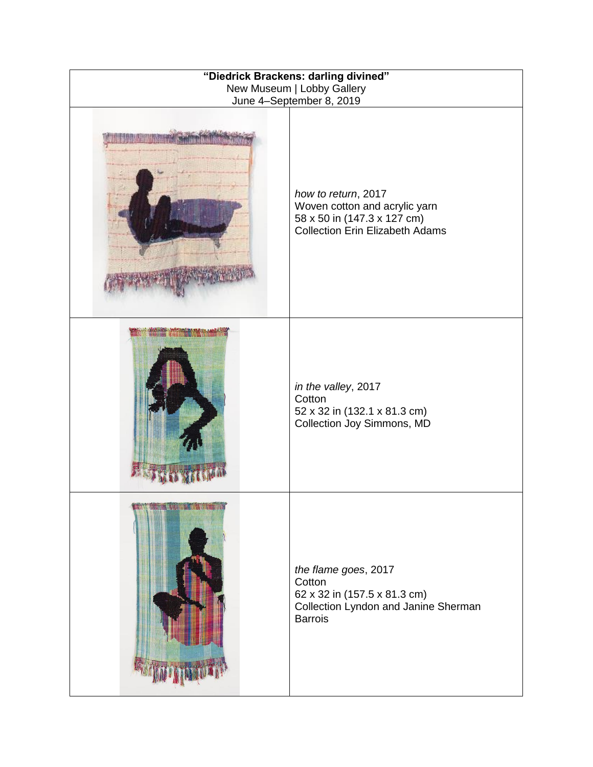| "Diedrick Brackens: darling divined"<br>New Museum   Lobby Gallery<br>June 4-September 8, 2019 |                                                                                                                               |
|------------------------------------------------------------------------------------------------|-------------------------------------------------------------------------------------------------------------------------------|
|                                                                                                | how to return, 2017<br>Woven cotton and acrylic yarn<br>58 x 50 in (147.3 x 127 cm)<br><b>Collection Erin Elizabeth Adams</b> |
|                                                                                                | in the valley, 2017<br>Cotton<br>52 x 32 in (132.1 x 81.3 cm)<br>Collection Joy Simmons, MD                                   |
|                                                                                                | the flame goes, 2017<br>Cotton<br>62 x 32 in (157.5 x 81.3 cm)<br>Collection Lyndon and Janine Sherman<br><b>Barrois</b>      |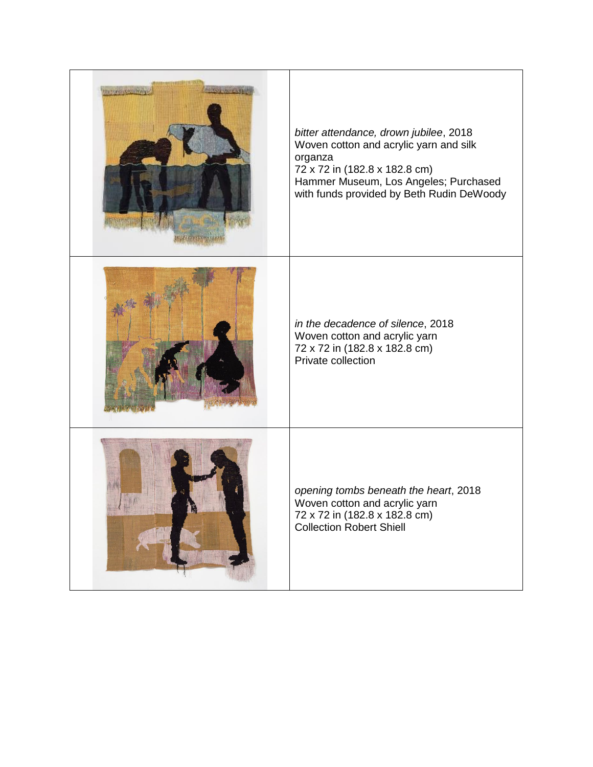| Burns of Canada<br>COUP LE VOID | bitter attendance, drown jubilee, 2018<br>Woven cotton and acrylic yarn and silk<br>organza<br>72 x 72 in (182.8 x 182.8 cm)<br>Hammer Museum, Los Angeles; Purchased<br>with funds provided by Beth Rudin DeWoody |
|---------------------------------|--------------------------------------------------------------------------------------------------------------------------------------------------------------------------------------------------------------------|
|                                 | in the decadence of silence, 2018<br>Woven cotton and acrylic yarn<br>72 x 72 in (182.8 x 182.8 cm)<br>Private collection                                                                                          |
| 髑                               | opening tombs beneath the heart, 2018<br>Woven cotton and acrylic yarn<br>72 x 72 in (182.8 x 182.8 cm)<br><b>Collection Robert Shiell</b>                                                                         |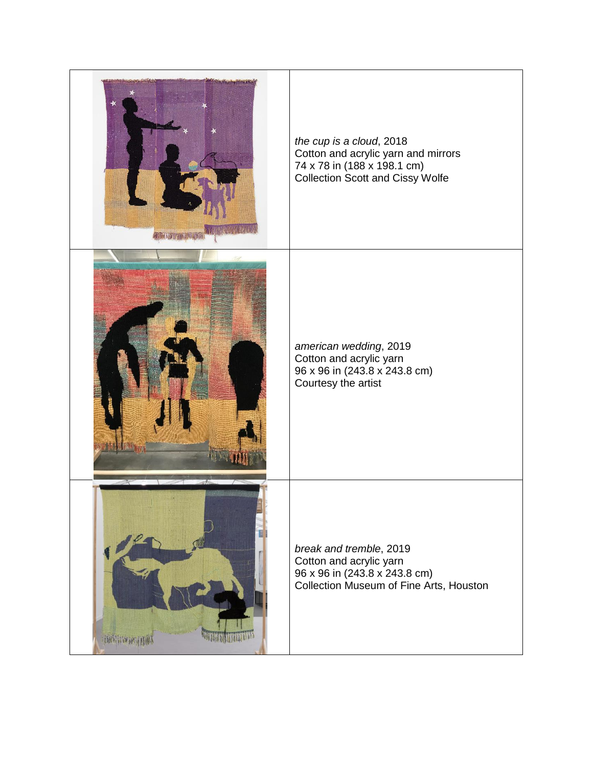